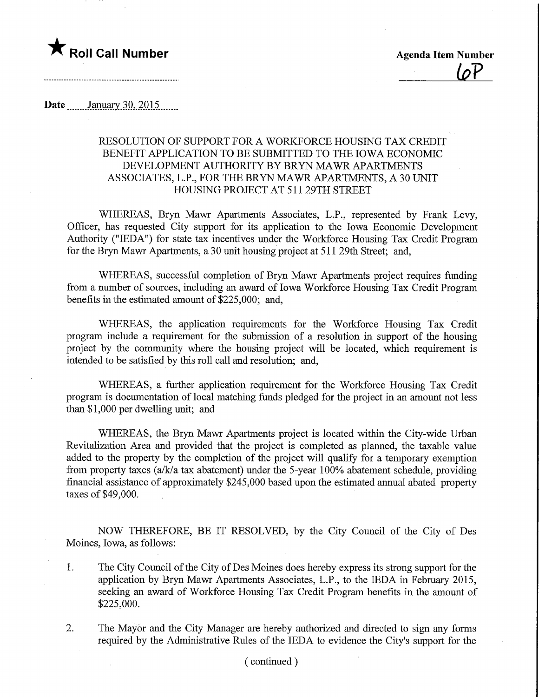

Date ........January.30,.2015.

## RESOLUTION OF SUPPORT FOR A WORKFORCE HOUSING TAX CREDIT BENEFIT APPLICATION TO BE SUBMITTED TO THE IOWA ECONOMIC DEVELOPMENT AUTHORITY BY BRYN MAWR APARTMENTS ASSOCIATES, L.P., FOR THE BRYN MAWR APARTMENTS, A 30 UNIT HOUSING PROJECT AT 511 29TH STREET

WHEREAS, Bryn Mawr Apartments Associates, L.P., represented by Frank Levy, Officer, has requested City support for its application to the Iowa Economic Development Authority ("IEDA") for state tax incentives under the Workforce Housing Tax Credit Program for the Bryn Mawr Apartments, a 30 unit housing project at 511 29th Street; and,

WHEREAS, successful completion of Bryn Mawr Apartments project requires funding from a number of sources, including an award of Iowa Workforce Housing Tax Credit Program benefits in the estimated amount of \$225,000; and,

WHEREAS, the application requirements for the Workforce Housing Tax Credit program include a requirement for the submission of a resolution in support of the housing project by the community where the housing project will be located, which requirement is intended to be satisfied by this roll call and resolution; and,

WHEREAS, a further application requirement for the Workforce Housing Tax Credit program is documentation of local matching funds pledged for the project in an amount not less than \$1,000 per dwelling unit; and

WHEREAS, the Bryn Mawr Apartments project is located within the City-wide Urban Revitalization Area and provided that the project is completed as planned, the taxable value added to the property by the completion of the project will qualify for a temporary exemption from property taxes (a/k/a tax abatement) under the 5-year 100% abatement schedule, providing financial assistance of approximately \$245,000 based upon the estimated annual abated property taxes of \$49,000.

NOW THEREFORE, BE IT RESOLVED, by the City Council of the City of Des Moines, Iowa, as follows:

- 1. The City Council of the City of Des Moines does hereby express its strong support for the application by Bryn Mawr Apartments Associates, L.P., to the IEDA in February 2015, seeking an award of Workforce Housing Tax Credit Program benefits in the amount of \$225,000.
- 2. The Mayor and the City Manager are hereby authorized and directed to sign any forms required by the Administrative Rules of the IEDA to evidence the City's support for the